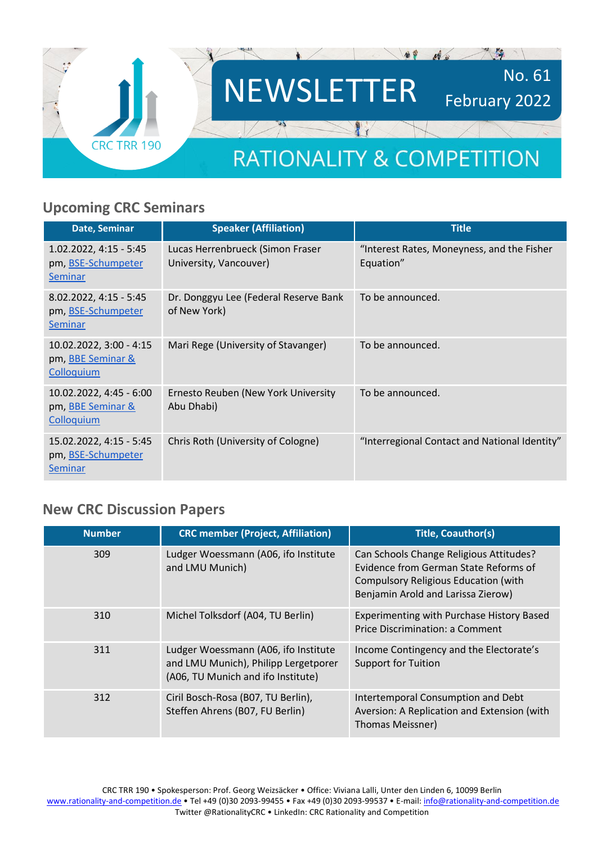

### **Upcoming CRC Seminars**

| Date, Seminar                                                     | <b>Speaker (Affiliation)</b>                               | <b>Title</b>                                            |
|-------------------------------------------------------------------|------------------------------------------------------------|---------------------------------------------------------|
| 1.02.2022, 4:15 - 5:45<br>pm, BSE-Schumpeter<br>Seminar           | Lucas Herrenbrueck (Simon Fraser<br>University, Vancouver) | "Interest Rates, Moneyness, and the Fisher<br>Equation" |
| 8.02.2022, 4:15 - 5:45<br>pm, BSE-Schumpeter<br>Seminar           | Dr. Donggyu Lee (Federal Reserve Bank<br>of New York)      | To be announced.                                        |
| 10.02.2022, 3:00 - 4:15<br>pm, <b>BBE</b> Seminar &<br>Colloquium | Mari Rege (University of Stavanger)                        | To be announced.                                        |
| 10.02.2022, 4:45 - 6:00<br>pm, BBE Seminar &<br>Colloquium        | Ernesto Reuben (New York University<br>Abu Dhabi)          | To be announced.                                        |
| 15.02.2022, 4:15 - 5:45<br>pm, BSE-Schumpeter<br>Seminar          | Chris Roth (University of Cologne)                         | "Interregional Contact and National Identity"           |

### **New CRC Discussion Papers**

| <b>Number</b> | <b>CRC member (Project, Affiliation)</b>                                                                           | <b>Title, Coauthor(s)</b>                                                                                                                                             |
|---------------|--------------------------------------------------------------------------------------------------------------------|-----------------------------------------------------------------------------------------------------------------------------------------------------------------------|
| 309           | Ludger Woessmann (A06, ifo Institute<br>and LMU Munich)                                                            | Can Schools Change Religious Attitudes?<br>Evidence from German State Reforms of<br><b>Compulsory Religious Education (with</b><br>Benjamin Arold and Larissa Zierow) |
| 310           | Michel Tolksdorf (A04, TU Berlin)                                                                                  | <b>Experimenting with Purchase History Based</b><br>Price Discrimination: a Comment                                                                                   |
| 311           | Ludger Woessmann (A06, ifo Institute<br>and LMU Munich), Philipp Lergetporer<br>(A06, TU Munich and ifo Institute) | Income Contingency and the Electorate's<br><b>Support for Tuition</b>                                                                                                 |
| 312           | Ciril Bosch-Rosa (B07, TU Berlin),<br>Steffen Ahrens (B07, FU Berlin)                                              | Intertemporal Consumption and Debt<br>Aversion: A Replication and Extension (with<br>Thomas Meissner)                                                                 |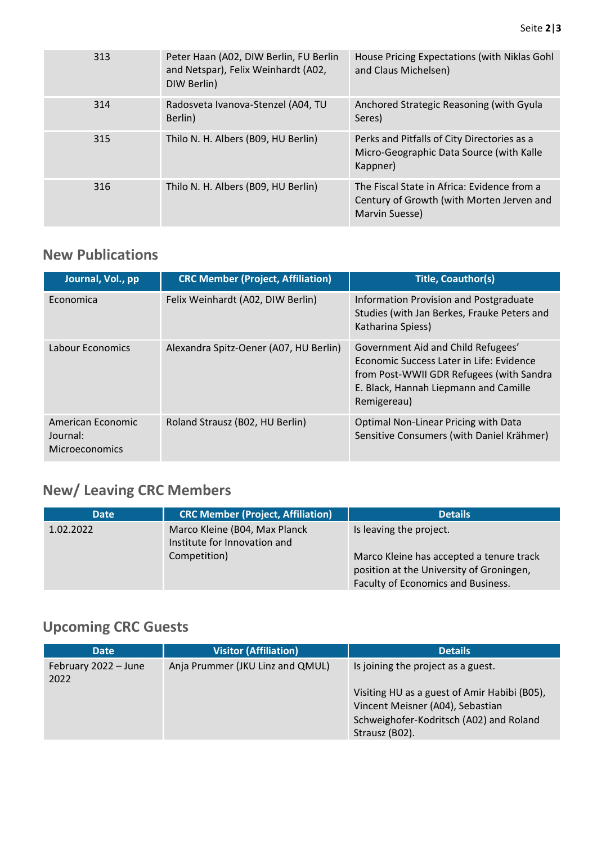| 313 | Peter Haan (A02, DIW Berlin, FU Berlin<br>and Netspar), Felix Weinhardt (A02,<br>DIW Berlin) | House Pricing Expectations (with Niklas Gohl<br>and Claus Michelsen)                                       |
|-----|----------------------------------------------------------------------------------------------|------------------------------------------------------------------------------------------------------------|
| 314 | Radosveta Ivanova-Stenzel (A04, TU<br>Berlin)                                                | Anchored Strategic Reasoning (with Gyula<br>Seres)                                                         |
| 315 | Thilo N. H. Albers (B09, HU Berlin)                                                          | Perks and Pitfalls of City Directories as a<br>Micro-Geographic Data Source (with Kalle<br>Kappner)        |
| 316 | Thilo N. H. Albers (B09, HU Berlin)                                                          | The Fiscal State in Africa: Evidence from a<br>Century of Growth (with Morten Jerven and<br>Marvin Suesse) |

## **New Publications**

| Journal, Vol., pp                                      | <b>CRC Member (Project, Affiliation)</b> | <b>Title, Coauthor(s)</b>                                                                                                                                                          |
|--------------------------------------------------------|------------------------------------------|------------------------------------------------------------------------------------------------------------------------------------------------------------------------------------|
| Economica                                              | Felix Weinhardt (A02, DIW Berlin)        | Information Provision and Postgraduate<br>Studies (with Jan Berkes, Frauke Peters and<br>Katharina Spiess)                                                                         |
| Labour Economics                                       | Alexandra Spitz-Oener (A07, HU Berlin)   | Government Aid and Child Refugees'<br>Economic Success Later in Life: Evidence<br>from Post-WWII GDR Refugees (with Sandra<br>E. Black, Hannah Liepmann and Camille<br>Remigereau) |
| American Economic<br>Journal:<br><b>Microeconomics</b> | Roland Strausz (B02, HU Berlin)          | Optimal Non-Linear Pricing with Data<br>Sensitive Consumers (with Daniel Krähmer)                                                                                                  |

# **New/ Leaving CRC Members**

| <b>Date</b> | <b>CRC Member (Project, Affiliation)</b>                                      | <b>Details</b>                                                                                                                                        |
|-------------|-------------------------------------------------------------------------------|-------------------------------------------------------------------------------------------------------------------------------------------------------|
| 1.02.2022   | Marco Kleine (B04, Max Planck<br>Institute for Innovation and<br>Competition) | Is leaving the project.<br>Marco Kleine has accepted a tenure track<br>position at the University of Groningen,<br>Faculty of Economics and Business. |

# **Upcoming CRC Guests**

| <b>Date</b>                  | <b>Visitor (Affiliation)</b>     | <b>Details</b>                                                                                                                                                                      |
|------------------------------|----------------------------------|-------------------------------------------------------------------------------------------------------------------------------------------------------------------------------------|
| February 2022 - June<br>2022 | Anja Prummer (JKU Linz and QMUL) | Is joining the project as a guest.<br>Visiting HU as a guest of Amir Habibi (B05),<br>Vincent Meisner (A04), Sebastian<br>Schweighofer-Kodritsch (A02) and Roland<br>Strausz (BO2). |